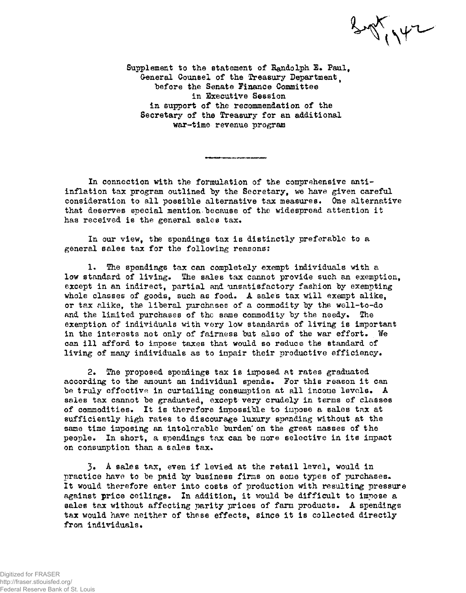$\frac{1}{2} \frac{1}{2} \left( \frac{1}{2} \frac{1}{2} \right)$ 

Supplement to the statement of Randolph E. Paul, General Counsel of the Treasury Department before the Senate Finance Committee in Executive Session in support of the recommendation of the Secretary of the Treasury for an additional war-time revenue program

In connection with the formulation of the comprehensive antiinflation tax program outlined by the Secretary, we have given careful consideration to all possible alternative tax measures. One alternative that deserves special mention because of the widespread attention it has received is the general sales tax.

In our view, the spendings tax is distinctly preferable to a general sales tax for the following reasons:

1. The spendings tax can completely exempt individuals with a low standard of living. The sales tax cannot provide such an exemption, except in an indirect, partial and unsatisfactory fashion by exempting whole classes of goods, such as food. A sales tax will exempt alike, or tax alike, the liberal purchases of a commodity by the well-to-do and the limited purchases of the same commodity by the needy. The exemption of individuals with very low standards of living is important in the interests not only of fairness but also of the war effort. We can ill afford to impose taxes that would so reduce the standard of living of many individuals as to inpair their productive efficiency.

2. The proposed spendings tax is imposed at rates graduated according to the amount an individual spends. For this reason it can be truly effective in curtailing consumption at all income levels. A sales tax cannot be graduated, except very crudely in terms of classes of commodities. It is therefore impossible to impose a sales tax at sufficiently high rates to discourage luxury spending without at the same time imposing an intolerable burden' on the great masses of the people. In short, a spendings tax can be more selective in its impact on consumption than a sales tax.

A sales tax, even if levied at the retail level, would in practice have to be paid by business firms on some types of purchases. It would therefore enter into costs of production with resulting pressure against price ceilings. In addition, it would be difficult to impose a sales tax without affecting parity prices of farm products. A spendings tax would have neither of these effects, since it is collected directly from individuals.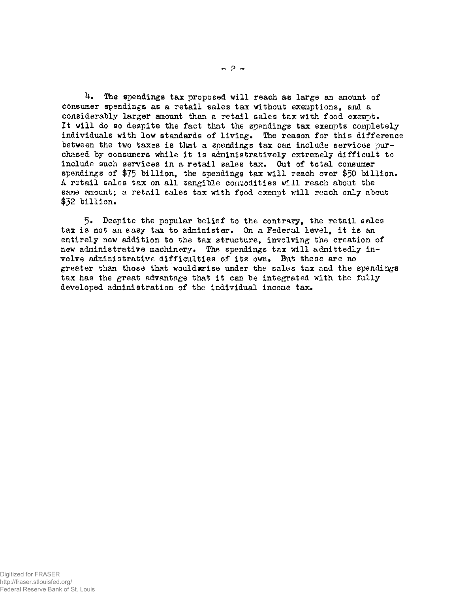4. The spendings tax proposed will reach as large an amount of consumer spendings as a retail sales tax without exemptions, and a considerably larger amount than a retail sales tax with food exempt. It will do so despite the fact that the spendings tax exempts completely individuals with low standards of living. The reason for this difference between the two taxes is that a spendings tax can include services purchased by consumers while it is administratively extremely difficult to include such services in a retail sales tax. Out of total consumer spendings of  $$75$  billion, the spendings tax will reach over  $$50$  billion. A retail sales tax on all tangible commodities will reach about the same amount; a retail sales tax with food exempt will reach only about  $$32$  billion.

5» Despite the popular belief to the contrary, the retail sales tax is not an easy tax to administer. On a Federal level, it is an entirely new addition to the tax structure, involving the creation of new administrative machinery. The spendings tax will admittedly involve administrative difficulties of its own. But these are no greater than those that would wise under the sales tax and the spendings tax has the great advantage that it can be integrated with the fully developed administration of the individual income tax.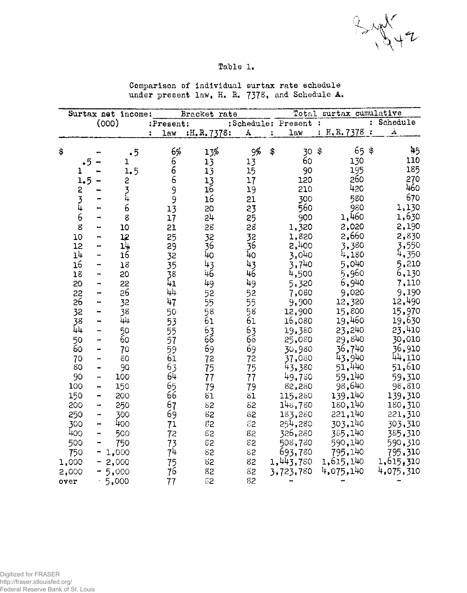$3442$ 

### Table 1.

| Surtax net income: |               |                          | Bracket rate  | surtax cumulative<br>Total |             |                 |    |                      |               |            |                |           |
|--------------------|---------------|--------------------------|---------------|----------------------------|-------------|-----------------|----|----------------------|---------------|------------|----------------|-----------|
|                    |               |                          | (000)         | :Present:                  |             |                 |    | :Schedule: Present : |               |            | $\ddot{\cdot}$ | Schedule  |
|                    |               |                          |               | law                        | :H.R. 7378: | A               | ÷  | $\text{lew}$         |               | : H.R.7378 | $\ddot{\cdot}$ | À         |
| \$                 |               |                          | .5            | 6%                         | 13%         | 9%              | \$ | 30                   | $\frac{1}{2}$ | 65         | \$             | 45        |
|                    | .5            |                          | ı             |                            | 13          | 13              |    | 60                   |               | 130        |                | 110       |
|                    | ı             |                          | 1.5           |                            | 13          | 15              |    | 90                   |               | 195        |                | 185       |
|                    | 1.5           |                          | 2             | 6<br>6<br>6                | 13          | 17              |    | 120                  |               | 260        |                | 270       |
|                    | 2             |                          |               |                            | 16          | 19              |    | 210                  |               | 420        |                | 460       |
|                    | $\frac{3}{4}$ |                          | $\frac{3}{4}$ | 9<br>9                     | 16          | 21              |    | 300                  |               | 580        |                | 670       |
|                    |               |                          | 6             | $1\overline{3}$            | 20          | 23              |    | 560                  |               | 980        |                | 1,130     |
|                    | 6             |                          | 8             | 17                         | 5ħ          | 25              |    | 900                  |               | 1,460      |                | 1,630     |
|                    | g             |                          | 10            | 21                         | 28          | 28              |    | 1,320                |               | 2,020      |                | 2,190     |
|                    | 10            | ⊷                        | 12            | 25                         | 32          | 32              |    | 1,820                |               | 2,660      |                | 2,830     |
|                    | 12            |                          | 14            | 29                         | 36          | 36              |    | 2,400                |               | 3,380      |                | 3,550     |
|                    | 14            | ÷                        | 16            | 32                         | 40          | 40              |    | 3,040                |               | 4,180      |                | 4,350     |
|                    | 16            | -                        | 18            | 35                         | 43          | 43              |    | 3,740                |               | 5,040      |                | 5,210     |
|                    | 18            |                          | 20            | 38                         | 46          | 46              |    | 4,500                |               | 5,960      |                | 6,130     |
|                    | 20            | -                        | 22            | 41                         | 49          | 49              |    | 5,320                |               | 6,940      |                | 7,110     |
|                    | 22            | ÷                        | 26            | $\mu_{\uparrow}$           | 52          | 52              |    | 7,080                |               | 9,020      |                | 9,190     |
|                    | 26            | $\blacksquare$           | 32            | 47                         | 55          | 55              |    | 9,900                |               | 12,320     |                | 12,490    |
|                    | 32            | -                        | 38            | 50                         | 58          | 58              |    | 12,900               |               | 15,800     |                | 15,970    |
|                    | 38            | ⊷                        | <u>ірп</u>    | 53                         | 61          | 61              |    | 16,080               |               | 19,460     |                | 19,630    |
|                    | 44            | $\overline{\phantom{0}}$ | 50            | 55                         | 63          | 63              |    | 19,380               |               | 23,240     |                | 23,410    |
|                    | 50            | -                        | 60            | 57                         | 66          | $6\overline{6}$ |    | 25,080               |               | 29,840     |                | 30,010    |
|                    | 60            | -                        | 70            | 59                         | 69          | 69              |    | 30,980               |               | 36,740     |                | 36,910    |
|                    | 70            | ÷                        | 80            | 61                         | 72          | 72              |    | 37,080               |               | 43,940     |                | 44,110    |
|                    | 80            | -                        | 90            | 63                         | 75          | 75              |    | 43,380               |               | 51,440     |                | 51,610    |
|                    | 90            | -                        | 100           | 64                         | 77          | 77              |    | 49,730               |               | 59.140     |                | 59,310    |
|                    | 100           | $\overline{\phantom{a}}$ | 150           | 65                         | 79          | 79              |    | 82,280               |               | 98,640     |                | 98,810    |
|                    | 150           | -                        | 200           | 66                         | 81          | 61              |    | 115,280              |               | 139,140    |                | 139,310   |
|                    | 200           | $\overline{\phantom{0}}$ | 250           | 67                         | 82          | 62              |    | 148,780              |               | 180,140    |                | 180,310   |
|                    | 250           | -                        | 300           | 69                         | 82          | 82              |    | 183,280              |               | 221,140    |                | 221,310   |
|                    | 300           | $\rightarrow$            | 400           | 71                         | 82          | \$2             |    | 254,280              |               | 303,140    |                | 303,310   |
|                    | 400           |                          | 500           | 72                         | 82          | 82              |    | 326,280              |               | 385.140    |                | 385,310   |
|                    | 500           | -                        | 750           | 73                         | 82          | 82              |    | 508,730              |               | 590,140    |                | 590,310   |
|                    | 750           |                          | $-1,000$      | 74                         | \$2         | 82              |    | 693,780              |               | 795,140    |                | 795,310   |
|                    | 1,000         |                          | $-2,000$      | 75                         | 82          | 82              |    | 1,443,780            |               | 1,615,140  |                | 1,615,310 |
|                    | 2,000         |                          | $-5,000$      | 76                         | 82          | 82              |    | 3,723,780            |               | 4,075,140  |                | 4,075,310 |
|                    | over          |                          | 5,000         | 77                         | 52          | S2              |    |                      |               |            |                |           |

Comparison of individual surtax rate schedule under present law, H. R. 7378, and Schedule A.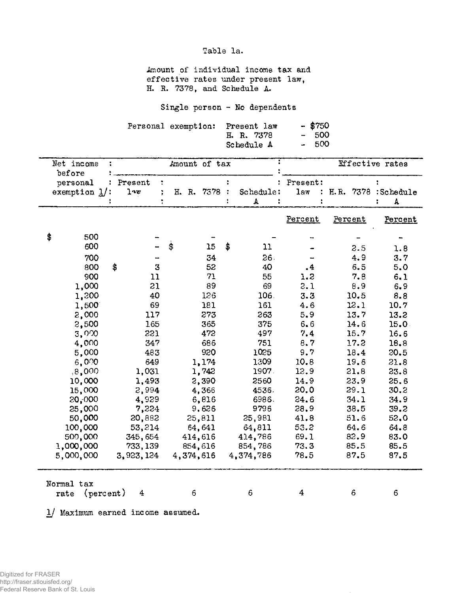Table la.

Amount of individual income tax and effective rates under present law, H. R. 7378, and Schedule A.

Single person - No dependents

|  | Personal exemption: Present law | - \$750 |        |  |
|--|---------------------------------|---------|--------|--|
|  | H. R. 7378                      |         | $-500$ |  |
|  | Schedule A                      |         | - 500  |  |

| Net income                            |                        | Amount of tax |    | <b>Effective</b> rates |                             |                      |         |
|---------------------------------------|------------------------|---------------|----|------------------------|-----------------------------|----------------------|---------|
| before<br>personal<br>exemption $1$ : | Present<br>$1 \cdot w$ | H. R. 7378 :  |    | Schedule:<br>А         | Present:<br>1 <sub>av</sub> | H.R. 7378 : Schedule | A       |
|                                       |                        |               |    |                        | Percent                     | Percent              | Percent |
| \$<br>500                             |                        |               |    |                        |                             |                      |         |
| 600                                   |                        | \$<br>15      | \$ | 11                     |                             | 2.5                  | 1.8     |
| 700                                   |                        | 34            |    | 26.                    |                             | 4.9                  | 3.7     |
| 800                                   | \$<br>3                | 52            |    | 40                     | $\cdot$ <sup>4</sup>        | 6.5                  | 5.0     |
| 900                                   | 11                     | 71            |    | 55                     | 1.2                         | 7.8                  | 6.1     |
| 1,000                                 | 21                     | 89            |    | 69                     | 2.1                         | 8.9                  | 6.9     |
| 1,200                                 | 40                     | 126           |    | 106.                   | 3.3                         | 10.5                 | 8.8     |
| 1,500                                 | 69                     | 181           |    | 161                    | 4.6                         | 12.1                 | 10.7    |
| 2,000                                 | 117                    | 273           |    | 263                    | 5.9                         | 13.7                 | 13.2    |
| 2,500                                 | 165                    | 365           |    | 375                    | 6.6                         | 14.6                 | 15.0    |
| 3,000                                 | 221                    | 472           |    | 497                    | 7.4                         | 15.7                 | 16.6    |
| 4,000                                 | 347                    | 686           |    | 751                    | 8, 7                        | 17.2                 | 18.8    |
| 5,000                                 | 483                    | 920           |    | 1025                   | 9.7                         | 18.4                 | 20.5    |
| 6,000                                 | 649                    | 1,174         |    | 1309                   | 10.8                        | 19.6                 | 21.8    |
| .8,000                                | 1,031                  | 1,742         |    | 1907                   | 12.9                        | 21.8                 | 23.8    |
| 10,000                                | 1,493                  | 2,390         |    | 2560                   | 14.9                        | 23.9                 | 25.6    |
| 15,000                                | 2,994                  | 4,366         |    | 4536.                  | 20.0                        | 29.1                 | 30.2    |
| 20,000                                | 4,929                  | 6,816         |    | 6986.                  | 24.6                        | 34.1                 | 34.9    |
| 25,000                                | 7,224                  | 9,626         |    | 9796                   | 28.9                        | 38.5                 | 39.2    |
| 50,000                                | 20,882                 | 25,811        |    | 25,981                 | 41.8                        | 51.6                 | 52.0    |
| 100,000                               | 53,214                 | 64,641        |    | 64,811                 | 53.2                        | 64.6                 | 64.8    |
| 500,000                               | 345,654                | 414,616       |    | 414,786                | 69.1                        | 82.9                 | 83.0    |
| 1,000,000                             | 733,139                | 854,616       |    | 854,786                | 73.3                        | 85.5                 | 85.5    |
| 5,000,000                             | 3,923,124              | 4,374,616     |    | 4,374,786              | 78.5                        | 87.5                 | 87.5    |
| Normal tax<br>(percent)<br>rate       | 4                      | 6             |    | 6                      | 4                           | 6                    | 6       |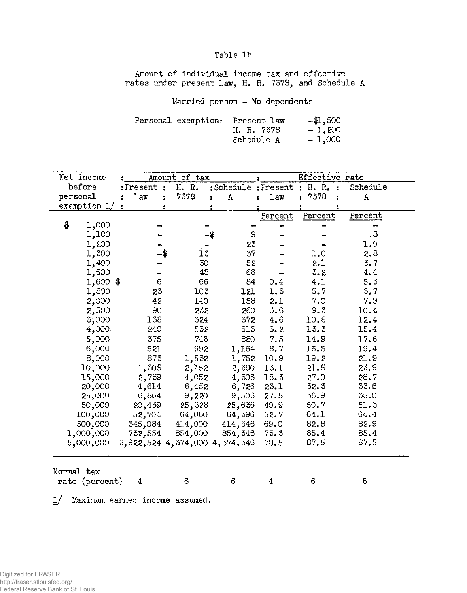### Table 1b

Amount of individual income tax and effective rates under present law, H. R. 7378, and Schedule A

Married person - No dependents

|  | Personal exemption: Present law | $-41,500$ |
|--|---------------------------------|-----------|
|  | H. R. 7378                      | $-1,200$  |
|  | Schedule A                      | $-1,000$  |

| Net income                                                 |                 | Amount of tax |                                     | Effective rate |           |                      |  |  |  |
|------------------------------------------------------------|-----------------|---------------|-------------------------------------|----------------|-----------|----------------------|--|--|--|
| before                                                     | $:$ Present $:$ | H. R.         | :Schedule : Present : H. R. :       |                |           | Schedule             |  |  |  |
| personal                                                   | 1 <sub>aw</sub> | 7378<br>÷     | $\pmb{\Lambda}$                     | law            | 7378<br>ż | A                    |  |  |  |
| exemption 1/                                               |                 |               |                                     |                |           |                      |  |  |  |
|                                                            |                 |               |                                     | Percent        | Percent   | Percent              |  |  |  |
| \$<br>1,000                                                |                 |               |                                     |                |           |                      |  |  |  |
| 1,100                                                      |                 |               | 9                                   |                |           | $\cdot$ <sup>8</sup> |  |  |  |
| 1,200                                                      |                 |               | 23                                  |                |           | 1.9                  |  |  |  |
| 1,300                                                      |                 | 13            | 37                                  |                | 1.0       | 2.8                  |  |  |  |
| 1,400                                                      |                 | 30            | 52                                  |                | 2.1       | 3, 7                 |  |  |  |
| 1,500                                                      |                 | 48            | 66                                  |                | 3.2       | 4.4                  |  |  |  |
| $1,600$ \$                                                 | 6               | 66            | 84                                  | 0.4            | 4.1       | 5, 3                 |  |  |  |
| 1,800                                                      | 23              | 103           | 121                                 | 1.3            | 5.7       | 6, 7                 |  |  |  |
| 2,000                                                      | 42              | 140           | 158                                 | 2.1            | 7.0       | 7.9                  |  |  |  |
| 2,500                                                      | 90              | 232           | 260                                 | 3,6            | 9.3       | 10.4                 |  |  |  |
| 3,000                                                      | 138             | 324           | 372                                 | 4.6            | 10.8      | 12.4                 |  |  |  |
| 4,000                                                      | 249             | 532           | 616                                 | 6.2            | 13.3      | 15.4                 |  |  |  |
| 5,000                                                      | 375             | 746           | 880                                 | 7.5            | 14.9      | 17.6                 |  |  |  |
| 6,000                                                      | 521             | 992           | 1,164                               | 8.7            | 16.5      | 19.4                 |  |  |  |
| 8,000                                                      | 873             | 1,532         | 1,752                               | 10.9           | 19.2      | 21.9                 |  |  |  |
| 10,000                                                     | 1,305           | 2,152         | 2,390                               | 13.1           | 21.5      | 23.9                 |  |  |  |
| 15,000                                                     | 2,739           | 4,052         | 4,306                               | 18.3           | 27.0      | 28.7                 |  |  |  |
| 20,000                                                     | 4,614           | 6,452         | 6,726                               | 23.1           | 32.3      | 33.6                 |  |  |  |
| 25,000                                                     | 6,864           | 9,220         | 9,506                               | 27.5           | 36.9      | 38.0                 |  |  |  |
| 50,000                                                     | 20,439          | 25,328        | 25,636                              | 40.9           | 50.7      | 51.3                 |  |  |  |
| 100,000                                                    | 52,704          | 64,060        | 64,396                              | 52.7           | 64.1      | 64.4                 |  |  |  |
| 500,000                                                    | 345,084         | 414,000       | 414,346                             | 69.0           | 82.8      | 82.9                 |  |  |  |
| 1,000,000                                                  | 732,554         | 854,000       | 854,346                             | 73.3           | 85.4      | 85.4                 |  |  |  |
| 5,000,000                                                  |                 |               | 3, 922, 524 4, 374, 000 4, 374, 346 | 78.5           | 87.5      | 87.5                 |  |  |  |
| Normal tax<br>6<br>6<br>rate (percent)<br>6<br>6<br>4<br>4 |                 |               |                                     |                |           |                      |  |  |  |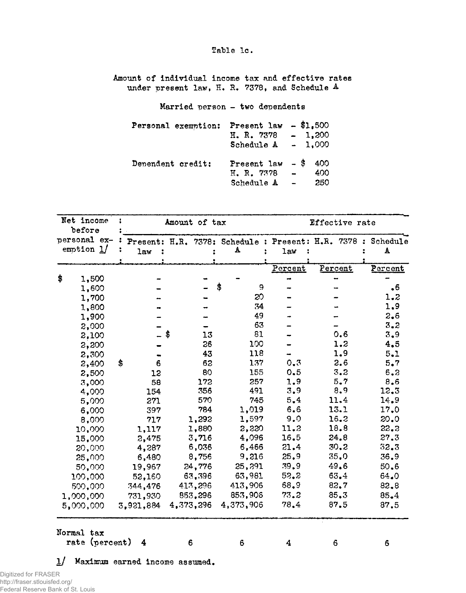#### Table 1c.

Amount of individual income tax and effective rates under present law, H. R. 7378, and Schedule A

Married person - two dependents

| Personal exemption: | Present law $- $1.500$<br>H.R. 7378<br>Schedule $A = 1,000$ | $-1,200$                                             |                   |
|---------------------|-------------------------------------------------------------|------------------------------------------------------|-------------------|
| Dependent credit;   | Present law $-$ \$<br>H. R. 7378<br>Schedule A              | $\overline{\phantom{0}}$<br>$\overline{\phantom{a}}$ | 400<br>400<br>250 |

| Amount of tax          |                                     | Effective rate                                               |                  |  |  |
|------------------------|-------------------------------------|--------------------------------------------------------------|------------------|--|--|
|                        |                                     | Present: H.R. 7378: Schedule : Present: H.R. 7378 : Schedule |                  |  |  |
| А                      | law                                 |                                                              | A                |  |  |
|                        | Percent                             | Percent                                                      | Percent          |  |  |
|                        |                                     |                                                              |                  |  |  |
| \$                     | 9                                   |                                                              | $\ddot{\bullet}$ |  |  |
|                        | 20                                  |                                                              | 1.2              |  |  |
|                        | 34                                  |                                                              | 1.9              |  |  |
| 49                     |                                     |                                                              | 2.6              |  |  |
| 63                     |                                     |                                                              | 3.2              |  |  |
| 81<br>13               |                                     | 0,6                                                          | 3,9              |  |  |
| 100<br>26              |                                     | 1.2                                                          | 4,5              |  |  |
| 118<br>43              |                                     | 1.9                                                          | 5.1              |  |  |
| 137<br>62              | 0.3                                 | 2.6                                                          | 5.7              |  |  |
| 80<br>155              | 0.5                                 | 3,2                                                          | 6.3              |  |  |
| 257<br>172             | 1.9                                 | 5.7                                                          | 8.6              |  |  |
| 356<br>491             | 3.9                                 | 8.9                                                          | 12.3             |  |  |
| 570<br>745             | 5.4                                 | 11.4                                                         | 14.9             |  |  |
| 784<br>1,019           | 6.6                                 | 13.1                                                         | 17.0             |  |  |
| 1,597<br>1,292         | 9.0                                 | 16.2                                                         | 20.0             |  |  |
| 1,880<br>2,220         | 11.2                                | 18.8                                                         | 22.3             |  |  |
| 4,096<br>3,716         | 16.5                                | 24.8                                                         | 27.3             |  |  |
| 6,036<br>6,466         | 21.4                                | 30.2                                                         | 32.3             |  |  |
| 9,216<br>8,756         | 25.9                                | 35.0                                                         | 36.9             |  |  |
| 25,291<br>24,776       | 39.9                                | 49.6                                                         | 50.6             |  |  |
| 63,981<br>63,396       | 52.2                                | 63.4                                                         | 64.0             |  |  |
| 413,906<br>413,296     | 68.9                                | 82.7                                                         | 82.8             |  |  |
| 853,906<br>853,296     | 73.2                                | 85.3                                                         | 85.4             |  |  |
| 4,373,296<br>4,373,906 | 78.4                                | 87.5                                                         | 87.5             |  |  |
|                        |                                     |                                                              | 6                |  |  |
|                        | 6<br>Maximum earned income assumed. | $\overline{4}$                                               | 6                |  |  |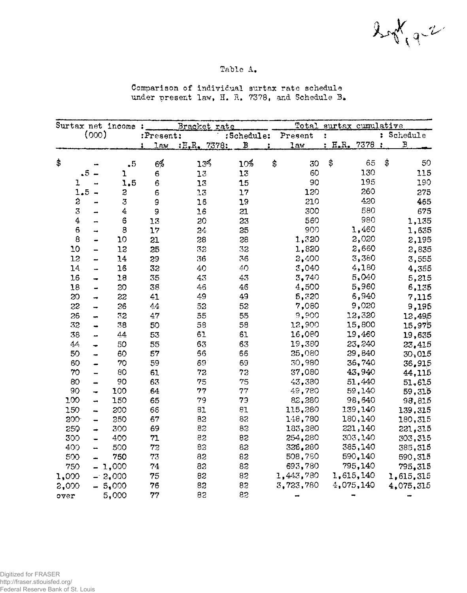$2\sqrt[4]{3}$ 

## Table A.

Comparison of individual surtax rate schedule under present law, H. R. 7378, and Schedule B.

| Surtax net income: |                         |                          |                  | Bracket rate |              |              | Total                | surtax cumulative |               |              |
|--------------------|-------------------------|--------------------------|------------------|--------------|--------------|--------------|----------------------|-------------------|---------------|--------------|
|                    |                         | (000)                    |                  | :Present:    |              | :Schedule:   |                      | Present           | t             | : Schedule   |
|                    |                         |                          |                  | law<br>2     | : H.R. 7378: | $\, {\bf B}$ |                      | law               | : H.R. 7378 : | $\, {\bf B}$ |
| \$                 |                         |                          | $\ddot{\bullet}$ | $6\%$        | 13%          | 10%          | $\ddot{\bm{\theta}}$ | 30                | \$<br>65      | \$<br>50     |
|                    | $\overline{.5}$         |                          | ı                | 6            | 13           | 13           |                      | 60                | 130           | 115          |
|                    | 1                       |                          | 1,5              | $\mathbf 6$  | 13           | 15           |                      | 90                | 195           | 190          |
|                    | 1.5                     |                          | 2                | 6            | 13           | 17           |                      | 120               | 260           | 275          |
|                    | $\ddot{\rm{z}}$         |                          | 3                | 9            | 16           | 19           |                      | 210               | 430           | 465          |
|                    | $\overline{\mathbf{3}}$ |                          | $\ddagger$       | 9            | 16           | 21           |                      | 300               | 580           | 675          |
|                    | 4                       |                          | 6                | 13           | 20           | 23           |                      | 560               | 980           | 1,135        |
|                    | 6                       | -                        | 8                | 17           | 24           | 25           |                      | 900               | 1,460         | 1,635        |
|                    | 8                       | ÷                        | 10               | 21           | 28           | 28           |                      | 1,320             | 2,020         | 2,195        |
|                    | 10                      |                          | 12               | 25           | 32           | 32           |                      | 1,820             | 2,660         | 2,835        |
|                    | 12                      | <b></b>                  | 14               | 29           | 36           | 36           |                      | 2,400             | 3,380         | 3,555        |
|                    | 14                      | -                        | 16               | 32           | 40           | 40           |                      | 3,040             | 4,180         | 4,355        |
|                    | 16                      | ⊷                        | 18               | 35           | 43           | 4.3          |                      | 3,740             | 5,040         | 5,215        |
|                    | 18                      |                          | 20               | 38           | 46           | 46           |                      | 4,500             | 5,960         | 6,135        |
|                    | 20                      | ⊷                        | 22               | 41           | 49           | 49           |                      | 5,320             | 6,940         | 7,115        |
|                    | 22                      | →                        | 26               | 44           | 52           | 52           |                      | 7,080             | 9,020         | 9,195        |
|                    | 26                      |                          | 72               | 47           | 55           | 55           |                      | 9,900             | 12,320        | 12,495       |
|                    | 32                      |                          | 38               | 50           | 53           | 53           |                      | 12,900            | 15,800        | 15,975       |
|                    | 38                      | <u></u>                  | 44               | 53           | 61           | 61           |                      | 16,080            | 19,460        | 19,635       |
|                    | 44                      |                          | 50               | 55           | 63           | 63           |                      | 19,380            | 23,240        | 23,415       |
|                    | 50                      |                          | 60               | 57           | 56           | 66           |                      | 25,080            | 29,840        | 30,015       |
|                    | 60                      |                          | 70               | 59           | 69           | 69           |                      | 30,980            | 36,740        | 36,915       |
|                    | 70                      | $\overline{\phantom{0}}$ | 80               | 61           | 72           | 73           |                      | 37,080            | 43,940        | 44,115       |
|                    | 30 <sup>o</sup>         | $\overline{\phantom{0}}$ | 90               | 63           | 75           | 75           |                      | 43,380            | 51,440        | 51,615       |
|                    | 90                      | $\rightarrow$            | 100              | 64           | 77           | 77           |                      | 49,780            | 59,140        | 59,315       |
|                    | 100                     | 44                       | 150              | 65           | 79           | 79           |                      | 82,280            | 98,640        | 98,815       |
|                    | 150                     | 4                        | 200              | 66           | 81           | 81           |                      | 115,280           | 139,140       | 139,315      |
|                    | <b>SOO</b>              | -                        | 250              | 67           | 82           | 82           |                      | 148,780           | 180,140       | 180,315      |
|                    | 250                     | ÷                        | 300              | 69           | 82           | 82           |                      | 183,280           | 221,140       | 221,315      |
|                    | 300                     | ÷                        | 400              | 71           | 82           | 82           |                      | 254,280           | 303,140       | 303,315      |
|                    | 400                     | ÷                        | 500              | 72           | 82           | 82           |                      | 326,280           | 385,140       | 385,315      |
|                    | 500                     |                          | 750              | 73           | 82           | 82           |                      | 508,780           | 590,140       | 590,315      |
|                    | 750                     |                          | $-1,000$         | 74           | 82           | 82           |                      | 693,780           | 795,140       | 795,315      |
|                    | 1,000                   |                          | $-2,000$         | 75           | 82           | 82           |                      | 1,443,780         | 1,615,140     | 1,615,315    |
|                    | 2,000                   |                          | $-5,000$         | 76           | 83           | 83           |                      | 3,723,780         | 4,075,140     | 4,075,315    |
|                    | over                    |                          | 5,000            | 77           | 82           | 83           |                      |                   |               |              |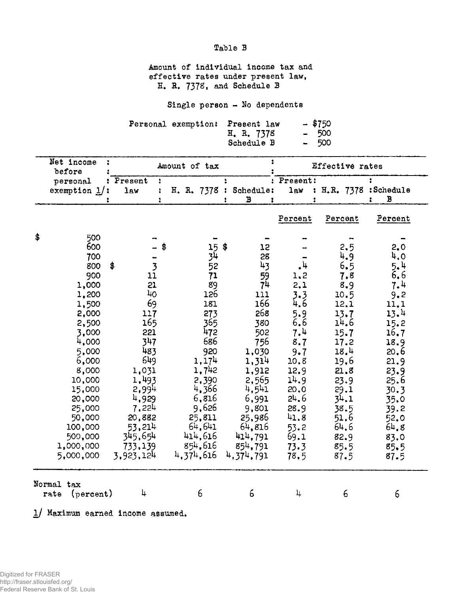Table B

Amount of individual income tax and effective rates under present law, H. R. 7378, and Schedule B

Single person - No dependents

|  | Personal exemption: Present law | - \$750 |
|--|---------------------------------|---------|
|  | H. R. 7378                      | - 500   |
|  | Schedule B                      | - 500   |

| Net income<br>before        |                                                                                                                                                                                                   |    |                                                                                                                                                                             |  | Amount of tax                                                                                                                                                         |                                                                                                                                                                    |                                                                                                                                           | Effective rates                                                                                                                                                 |                                                                                                                                                                 |
|-----------------------------|---------------------------------------------------------------------------------------------------------------------------------------------------------------------------------------------------|----|-----------------------------------------------------------------------------------------------------------------------------------------------------------------------------|--|-----------------------------------------------------------------------------------------------------------------------------------------------------------------------|--------------------------------------------------------------------------------------------------------------------------------------------------------------------|-------------------------------------------------------------------------------------------------------------------------------------------|-----------------------------------------------------------------------------------------------------------------------------------------------------------------|-----------------------------------------------------------------------------------------------------------------------------------------------------------------|
| personal<br>exemption $1$ : |                                                                                                                                                                                                   |    | : Present<br>÷<br>$1a$ w<br>$\ddot{\cdot}$                                                                                                                                  |  |                                                                                                                                                                       | H. R. 7378 : Schedule:<br>В<br>1                                                                                                                                   | : Present:<br>law                                                                                                                         | : H.R. 7378 : Schedule                                                                                                                                          | в                                                                                                                                                               |
|                             |                                                                                                                                                                                                   |    |                                                                                                                                                                             |  |                                                                                                                                                                       |                                                                                                                                                                    | Percent                                                                                                                                   | Percent                                                                                                                                                         | Percent                                                                                                                                                         |
| \$                          | 500<br>600<br>700<br>800<br>900<br>1,000<br>1,200<br>1,500<br>2,000<br>2,500<br>3,000<br>4,000<br>5,000<br>6,000<br>8,000<br>10,000<br>15,000<br>20,000<br>25,000<br>50,000<br>100,000<br>500,000 | \$ | \$<br>$\overline{\mathbf{3}}$<br>11<br>21<br>40<br>69<br>117<br>165<br>221<br>347<br>483<br>649<br>1,031<br>1,493<br>2,994<br>4,929<br>7,224<br>20,882<br>53,214<br>345,654 |  | $15$ \$<br>4ز<br>52<br>71<br>89<br>126<br>181<br>273<br>365<br>472<br>686<br>920<br>1,174<br>1,742<br>2,390<br>4,366<br>6,816<br>9,626<br>25,811<br>64,641<br>414,616 | 12<br>28<br>43<br>59<br>74<br>111<br>166<br>268<br>380<br>502<br>756<br>1,030<br>1,314<br>1,912<br>2,565<br>4,541<br>6,991<br>9,801<br>25,986<br>64,816<br>414,791 | .4<br>1.2<br>2,1<br>3.3<br>4.6<br>5.9<br>6.6<br>7.4<br>8.7<br>9.7<br>10.8<br>12.9<br>14.9<br>20.0<br>24,6<br>28.9<br>41.8<br>53.2<br>69.1 | 2.5<br>4.9<br>6,5<br>7.8<br>8.9<br>10.5<br>12.1<br>13.7<br>14.6<br>15.7<br>17.2<br>18.4<br>19.6<br>21.8<br>23.9<br>29.1<br>34.1<br>38.5<br>51.6<br>64.6<br>82.9 | 2.0<br>4.0<br>5.4<br>6.6<br>7.4<br>9.2<br>11.1<br>13.4<br>15.2<br>16.7<br>18.9<br>20, 6<br>21.9<br>23.9<br>25.6<br>30.3<br>35.0<br>39.2<br>52.0<br>64,8<br>83.0 |
|                             | 1,000,000<br>5,000,000                                                                                                                                                                            |    | 733,139<br>3.923,124                                                                                                                                                        |  | 854,616<br>4,374,616                                                                                                                                                  | 854,791<br>4,374,791                                                                                                                                               | 73.3<br>78.5                                                                                                                              | 85.5<br>87.5                                                                                                                                                    | 85.5<br>87.5                                                                                                                                                    |
|                             | Normal tax<br>(percent)<br>rate                                                                                                                                                                   |    | 4                                                                                                                                                                           |  | 6                                                                                                                                                                     | 6                                                                                                                                                                  | 4                                                                                                                                         | 6                                                                                                                                                               | 6                                                                                                                                                               |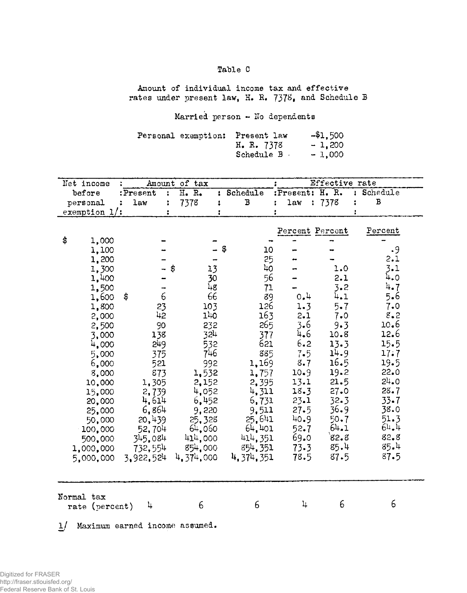# Table C

Amount of individual income tax and effective rates under present law, H. R. 7378, and Schedule B

Married person - No dependents

| Personal exemption: | Present law | $- $1,500$ |
|---------------------|-------------|------------|
|                     | H. R. 7378  | $-1,200$   |
|                     | Schedule B  | $-1,000$   |

| Net income                   |                            | Amount of tax                     |                |                 | Effective rate |              |
|------------------------------|----------------------------|-----------------------------------|----------------|-----------------|----------------|--------------|
| before                       | :Present<br>$\ddot{\cdot}$ | H. R.<br>$\mathbf{r}$             | Schedule       | :Present: H. R. |                | : Schedule   |
| personal                     | law                        | 7378<br>$\ddot{\phantom{a}}$<br>٠ | В              | law             | : 7378<br>:    | $\, {\bf B}$ |
| exemption $1$ :              |                            |                                   |                |                 |                |              |
|                              |                            |                                   |                | Percent Percent |                | Percent      |
| \$<br>1,000                  |                            |                                   |                |                 |                |              |
| 1,100                        |                            |                                   | \$<br>10       |                 |                | $\cdot$ 9    |
| 1,200                        |                            |                                   | 25             |                 |                | 2.1          |
| 1,300                        |                            | 13<br>\$                          | L <sub>O</sub> |                 | 1.0            | $3 - 1$      |
| 1,400                        |                            | 30                                | 56             |                 | 2.1            | 4.0          |
| 1,500                        |                            | 48                                | 71             |                 | 3.2            | 4.7          |
| 1,600                        | 6<br>\$                    | 66                                | 89             | 0.4             | 4.1            | 5.6          |
| 1,800                        | 23                         | 103                               | 126            | 1.3             | $5 - 7$        | 7.0          |
| 2,000                        | 42                         | 140                               | 163            | 2.1             | 7.0            | $8 - 2$      |
| 2,500                        | 90                         | 232                               | 265            | $3 - 6$         | 9.3            | 10.6         |
| 3,000                        | 138                        | 324                               | 377            | 4.6             | 10.8           | 12.6         |
| 4,000                        | 249                        | 532                               | 621            | 6.2             | 13.3           | 15.5         |
| 5,000                        | 375                        | 746                               | 885            | $7 - 5$         | 14.9           | 17.7         |
| 6,000                        | 521                        | 992                               | 1,169          | 8.7             | 16.5           | 19.5         |
| 8,000                        | 873                        | 1,532                             | 1,757          | 10.9            | 19.2           | 22.0         |
| 10,000                       | 1,305                      | 2,152                             | 2,395          | 13.1            | 21.5           | 24.0         |
| 15,000                       | 2,739                      | 4,052                             | 4,311          | 18.3            | $27 - 0$       | 28.7         |
| 20,000                       | 4,614                      | 6,452                             | 6,731          | 23.1            | 32.3           | $33 - 7$     |
| 25,000                       | 6,864                      | 9,220                             | 9.511          | 27.5            | 36.9           | 38.0         |
| 50,000                       | 20,439                     | 25,328                            | 25,641         | 40.9            | $50 - 7$       | 51.3         |
| 100,000                      | 52,704                     | 64,060                            | 64.401         | $52 - 7$        | 64.1           | 64.4         |
| 500,000                      | 345.084                    | 414,000                           | 414,351        | 69.0            | 82.8           | 82.8         |
| 1,000,000                    | 732,554                    | 854,000                           | 854, 351       | $73 - 3$        | 85.4           | 85.4         |
| 5,000,000                    | 3.922,524                  | 4,374,000                         | 4, 374, 351    | 78.5            | 87.5           | 87.5         |
|                              |                            |                                   |                |                 |                |              |
| Normal tax<br>rate (percent) | 4                          | 6                                 | 6              | 4               | 6              | 6            |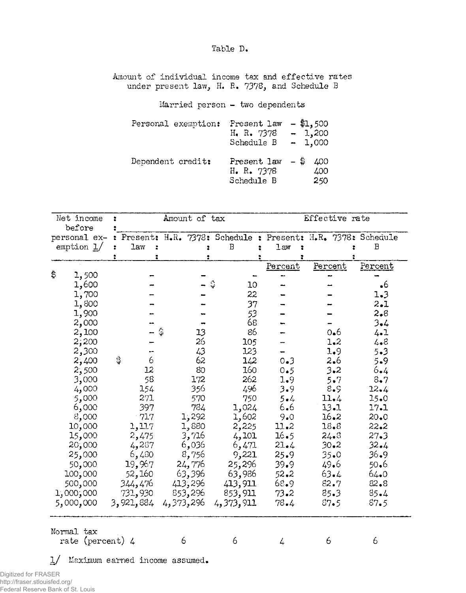Table D.

Amount of individual income tax and effective rates under present law, H. R. 7378, and Schedule B

Married person  $-$  two dependents

| Personal exemption: | Present law<br>H. R. 7378<br>Schedule B        | $-$ \$1,500<br>$-1,200$<br>$-1,000$ |
|---------------------|------------------------------------------------|-------------------------------------|
| Dependent credit:   | Present law $-$ \$<br>H. R. 7378<br>Schedule B | 400<br>400<br>250                   |

| Net income                            | :                    |                 |   | Amount of tax |                                                               | Effective rate |         |             |           |
|---------------------------------------|----------------------|-----------------|---|---------------|---------------------------------------------------------------|----------------|---------|-------------|-----------|
| before                                |                      |                 |   |               |                                                               |                |         |             |           |
| personal ex-                          |                      |                 |   |               | : Present: H.R. 7378: Schedule : Present: H.R. 7378: Schedule |                |         |             |           |
| emption $1/$                          | $\ddot{\phantom{a}}$ | <b>law</b><br>÷ |   |               | $\, {\bf B}$                                                  | law<br>÷       |         |             | B         |
|                                       |                      |                 |   |               |                                                               |                |         |             |           |
|                                       |                      |                 |   |               |                                                               | Percent        | Percent |             | Percent   |
| \$<br>1,500                           |                      |                 |   |               |                                                               |                |         |             |           |
| 1,600                                 |                      |                 |   |               | 10                                                            |                |         |             | $\cdot$ 6 |
| 1,700                                 |                      |                 |   |               | 22                                                            |                |         |             | 1.3       |
| 1,800                                 |                      |                 |   |               | 37                                                            |                |         |             | 2.1       |
| 1,900                                 |                      |                 |   |               | 53                                                            |                |         |             | $2 - 8$   |
| 2,000                                 |                      |                 |   |               | 68                                                            |                |         |             | $3 - 4$   |
| 2,100                                 |                      |                 |   | 13            | 86                                                            |                |         | 0.6         | 4.1       |
| 2,200                                 |                      |                 |   | 26            | 105                                                           |                |         | 1.2         | 4.8       |
| 2,300                                 |                      |                 |   | 43            | 123                                                           |                |         | 1.9         | 5.3       |
| 2,400                                 | \$                   | 6               |   | 62            | 142                                                           | 0.3            |         | 2.6         | 5.9       |
| 2,500                                 |                      | 12              |   | 80            | 160                                                           | 0.5            |         | 3.2         | 6.4       |
| 3,000                                 |                      | 58              |   | 172           | 262                                                           | 1.9            |         | $5 \cdot 7$ | 8.7       |
| 4,000                                 |                      | 154             |   | 356           | 496                                                           | 3.9            |         | 8.9         | 12.4      |
| 000 و5                                |                      | 271             |   | 570           | 750                                                           | $5 - 4$        |         | 11.4        | $15-0$    |
| 6,000                                 |                      | 397             |   | 784           | 1,024                                                         | 6.6            |         | $13 - 1$    | 17.1      |
| 8,000                                 |                      | $-717$          |   | 1,292         | 1,602                                                         | 9.0            |         | 16.2        | 20.0      |
| 10,000                                |                      | 1,117           |   | 1,880         | 2,225                                                         | 11.2           |         | 18.8        | 22.2      |
| 15,000                                |                      | 2,475           |   | 3,716         | 4,101                                                         | 16.5           |         | 24.3        | 27.3      |
| 20,000                                |                      | 4,287           |   | 6,036         | 6,471                                                         | 21.4           |         | 30.2        | $32 - 4$  |
| 25,000                                |                      | 6,480           |   | 8,756         | 9,221                                                         | 25.9           |         | $35 - 0$    | $36 - 9$  |
| 50,000                                |                      | 19,967          |   | 24,776        | 25,296                                                        | 39.9           |         | 49.6        | 50.6      |
| 100,000                               |                      | 52,160          |   | 63,396        | 63,986                                                        | $52 - 2$       |         | 63.4        | $64-0$    |
| 500,000                               |                      | 344,476         |   | 413,296       | 413,911                                                       | 68.9           |         | 82.7        | $82 - 8$  |
| 1,000,000                             |                      | 731,930         |   | 853,296       | 853,911                                                       | 73.2           |         | $85 - 3$    | 85.4      |
| 5,000,000                             |                      | 3,921,884       |   | 4,373,296     | 4,373,911                                                     | 78.4           |         | 37.5        | 87.5      |
|                                       |                      |                 |   |               |                                                               |                |         |             |           |
| Normal tax<br>rate (percent) 4        |                      |                 | 6 |               | 6                                                             | 4              | 6       |             | 6         |
|                                       |                      |                 |   |               |                                                               |                |         |             |           |
| Maximum earned income assumed.<br>IJ. |                      |                 |   |               |                                                               |                |         |             |           |